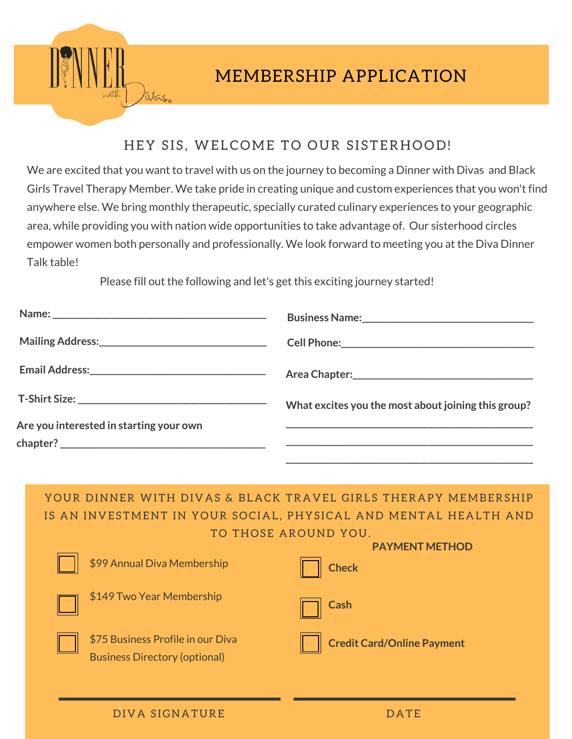

## HEY SIS, WELCOME TO OUR SISTERHOOD!

We are excited that you want to travel with us on the journey to becoming a Dinner with Divas and Black Girls Travel Therapy Member. We take pride in creating unique and custom experiences that you won't find anywhere else. We bring monthly therapeutic, specially curated culinary experiences to your geographic area, while providing you with nation wide opportunities to take advantage of. Our sisterhood circles empower women both personally and professionally. We look forward to meeting you at the Diva Dinner Talk table!

Please fill out the following and let's get this exciting journey started!

|                                         | What excites you the most about joining this group? |
|-----------------------------------------|-----------------------------------------------------|
| Are you interested in starting your own |                                                     |

YOUR DINNER WITH DIVAS & BLACK TRAVEL GIRLS THERAPY MEMBERSHIP IS AN INVESTMENT IN YOUR SOCIAL, PHYSICAL AND MENTAL HEALTH AND TO THOSE AROUND YOU. **PAYMENT METHOD** 

| \$99 Annual Diva Membership                                               | <b>Check</b>                      |
|---------------------------------------------------------------------------|-----------------------------------|
| \$149 Two Year Membership                                                 | <b>Cash</b>                       |
| \$75 Business Profile in our Diva<br><b>Business Directory (optional)</b> | <b>Credit Card/Online Payment</b> |
|                                                                           |                                   |